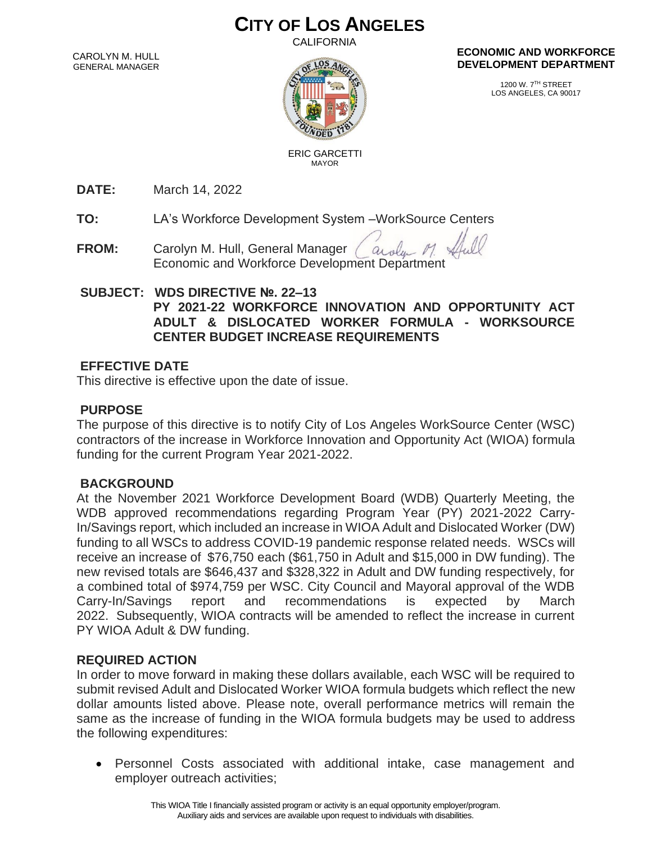# **CITY OF LOS ANGELES**

CALIFORNIA

CAROLYN M. HULL GENERAL MANAGER



#### **ECONOMIC AND WORKFORCE DEVELOPMENT DEPARTMENT**

1200 W. 7TH STREET LOS ANGELES, CA 90017

 ERIC GARCETTI MAYOR

**DATE:** March 14, 2022

**TO:** LA's Workforce Development System –WorkSource Centers

**FROM:** Carolyn M. Hull, General Manager arola Economic and Workforce Development Department

#### **SUBJECT: WDS DIRECTIVE №. 22–13 PY 2021-22 WORKFORCE INNOVATION AND OPPORTUNITY ACT ADULT & DISLOCATED WORKER FORMULA - WORKSOURCE CENTER BUDGET INCREASE REQUIREMENTS**

### **EFFECTIVE DATE**

This directive is effective upon the date of issue.

# **PURPOSE**

The purpose of this directive is to notify City of Los Angeles WorkSource Center (WSC) contractors of the increase in Workforce Innovation and Opportunity Act (WIOA) formula funding for the current Program Year 2021-2022.

# **BACKGROUND**

At the November 2021 Workforce Development Board (WDB) Quarterly Meeting, the WDB approved recommendations regarding Program Year (PY) 2021-2022 Carry-In/Savings report, which included an increase in WIOA Adult and Dislocated Worker (DW) funding to all WSCs to address COVID-19 pandemic response related needs. WSCs will receive an increase of \$76,750 each (\$61,750 in Adult and \$15,000 in DW funding). The new revised totals are \$646,437 and \$328,322 in Adult and DW funding respectively, for a combined total of \$974,759 per WSC. City Council and Mayoral approval of the WDB Carry-In/Savings report and recommendations is expected by March 2022. Subsequently, WIOA contracts will be amended to reflect the increase in current PY WIOA Adult & DW funding.

# **REQUIRED ACTION**

In order to move forward in making these dollars available, each WSC will be required to submit revised Adult and Dislocated Worker WIOA formula budgets which reflect the new dollar amounts listed above. Please note, overall performance metrics will remain the same as the increase of funding in the WIOA formula budgets may be used to address the following expenditures:

• Personnel Costs associated with additional intake, case management and employer outreach activities;